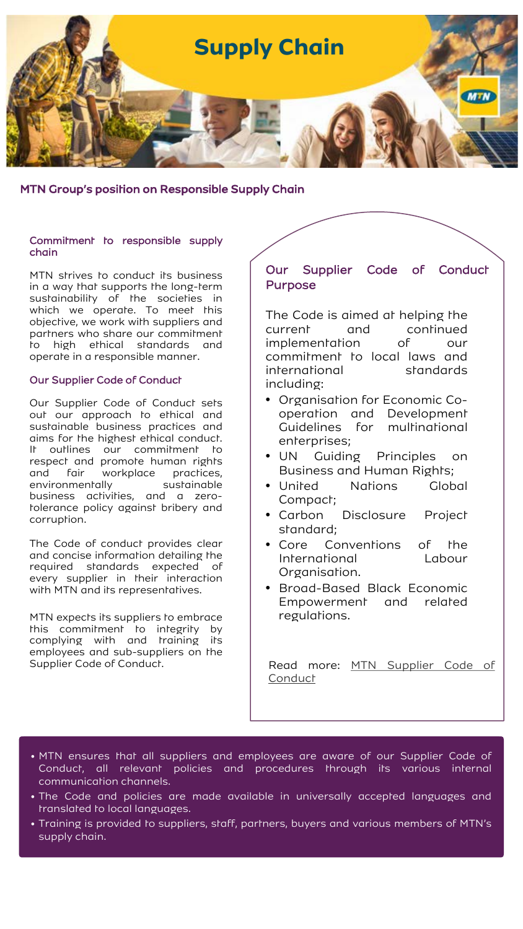

MTN Group's position on Responsible Supply Chain

### Commitment to responsible supply chain

MTN strives to conduct its business in a way that supports the long-term sustainability of the societies in which we operate. To meet this objective, we work with suppliers and partners who share our commitment to high ethical standards and operate in a responsible manner.

### Our Supplier Code of Conduct

Our Supplier Code of Conduct sets out our approach to ethical and sustainable business practices and aims for the highest ethical conduct. It outlines our commitment to respect and promote human rights and fair workplace practices, environmentally sustainable business activities, and a zerotolerance policy against bribery and corruption.

The Code of conduct provides clear and concise information detailing the required standards expected of every supplier in their interaction with MTN and its representatives.

MTN expects its suppliers to embrace this commitment to integrity by complying with and training its employees and sub-suppliers on the Supplier Code of Conduct.

# Our Supplier Code of Conduct Purpose

The Code is aimed at helping the current and continued implementation of our commitment to local laws and international standards including:

- Organisation for Economic Cooperation and Development Guidelines for multinational enterprises;
- UN Guiding Principles on Business and Human Rights;
- United Nations Global Compact;
- Carbon Disclosure Project standard;
- Core Conventions of the International Labour Organisation.
- Broad-Based Black Economic Empowerment and related regulations.

Read more: MTN [Supplier](https://www.mtn.com/wp-content/uploads/2020/07/Final-Supplier-Code-of-Conduct-March-2020_v2.pdf) Code of **Conduct** 

- MTN ensures that all suppliers and employees are aware of our Supplier Code of Conduct, all relevant policies and procedures through its various internal communication channels.
- The Code and policies are made available in universally accepted languages and translated to local languages.
- Training is provided to suppliers, staff, partners, buyers and various members of MTN's supply chain.